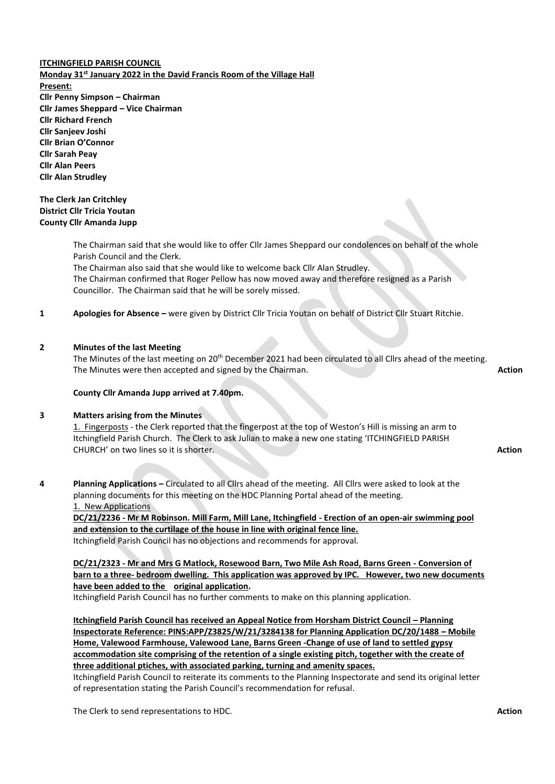# **ITCHINGFIELD PARISH COUNCIL Monday 31st January 2022 in the David Francis Room of the Village Hall Present: Cllr Penny Simpson – Chairman Cllr James Sheppard – Vice Chairman Cllr Richard French Cllr Sanjeev Joshi Cllr Brian O'Connor Cllr Sarah Peay Cllr Alan Peers Cllr Alan Strudley**

# **The Clerk Jan Critchley District Cllr Tricia Youtan County Cllr Amanda Jupp**

The Chairman said that she would like to offer Cllr James Sheppard our condolences on behalf of the whole Parish Council and the Clerk.

The Chairman also said that she would like to welcome back Cllr Alan Strudley. The Chairman confirmed that Roger Pellow has now moved away and therefore resigned as a Parish Councillor. The Chairman said that he will be sorely missed.

**1 Apologies for Absence –** were given by District Cllr Tricia Youtan on behalf of District Cllr Stuart Ritchie.

# **2 Minutes of the last Meeting**

The Minutes of the last meeting on 20<sup>th</sup> December 2021 had been circulated to all Cllrs ahead of the meeting. The Minutes were then accepted and signed by the Chairman. **Action** 

# **County Cllr Amanda Jupp arrived at 7.40pm.**

# **3 Matters arising from the Minutes**

1. Fingerposts - the Clerk reported that the fingerpost at the top of Weston's Hill is missing an arm to Itchingfield Parish Church. The Clerk to ask Julian to make a new one stating 'ITCHINGFIELD PARISH CHURCH' on two lines so it is shorter. **Action**

**4 Planning Applications –** Circulated to all Cllrs ahead of the meeting. All Cllrs were asked to look at the planning documents for this meeting on the HDC Planning Portal ahead of the meeting. 1. New Applications

**DC/21/2236 - Mr M Robinson. Mill Farm, Mill Lane, Itchingfield - Erection of an open-air swimming pool and extension to the curtilage of the house in line with original fence line.** Itchingfield Parish Council has no objections and recommends for approval.

**DC/21/2323 - Mr and Mrs G Matlock, Rosewood Barn, Two Mile Ash Road, Barns Green - Conversion of barn to a three- bedroom dwelling. This application was approved by IPC. However, two new documents have been added to the original application.** 

Itchingfield Parish Council has no further comments to make on this planning application.

**Itchingfield Parish Council has received an Appeal Notice from Horsham District Council – Planning Inspectorate Reference: PINS:APP/Z3825/W/21/3284138 for Planning Application DC/20/1488 – Mobile Home, Valewood Farmhouse, Valewood Lane, Barns Green -Change of use of land to settled gypsy accommodation site comprising of the retention of a single existing pitch, together with the create of three additional ptiches, with associated parking, turning and amenity spaces.**

Itchingfield Parish Council to reiterate its comments to the Planning Inspectorate and send its original letter of representation stating the Parish Council's recommendation for refusal.

The Clerk to send representations to HDC. **Action**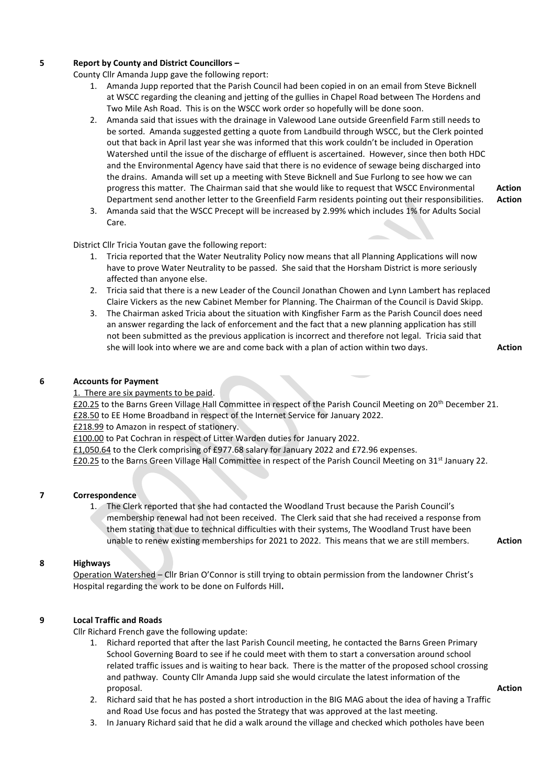# **5 Report by County and District Councillors –**

County Cllr Amanda Jupp gave the following report:

- 1. Amanda Jupp reported that the Parish Council had been copied in on an email from Steve Bicknell at WSCC regarding the cleaning and jetting of the gullies in Chapel Road between The Hordens and Two Mile Ash Road. This is on the WSCC work order so hopefully will be done soon.
- 2. Amanda said that issues with the drainage in Valewood Lane outside Greenfield Farm still needs to be sorted. Amanda suggested getting a quote from Landbuild through WSCC, but the Clerk pointed out that back in April last year she was informed that this work couldn't be included in Operation Watershed until the issue of the discharge of effluent is ascertained. However, since then both HDC and the Environmental Agency have said that there is no evidence of sewage being discharged into the drains. Amanda will set up a meeting with Steve Bicknell and Sue Furlong to see how we can progress this matter. The Chairman said that she would like to request that WSCC Environmental **Action**  Department send another letter to the Greenfield Farm residents pointing out their responsibilities. **Action**
- 3. Amanda said that the WSCC Precept will be increased by 2.99% which includes 1% for Adults Social Care.

District Cllr Tricia Youtan gave the following report:

- 1. Tricia reported that the Water Neutrality Policy now means that all Planning Applications will now have to prove Water Neutrality to be passed. She said that the Horsham District is more seriously affected than anyone else.
- 2. Tricia said that there is a new Leader of the Council Jonathan Chowen and Lynn Lambert has replaced Claire Vickers as the new Cabinet Member for Planning. The Chairman of the Council is David Skipp.
- 3. The Chairman asked Tricia about the situation with Kingfisher Farm as the Parish Council does need an answer regarding the lack of enforcement and the fact that a new planning application has still not been submitted as the previous application is incorrect and therefore not legal. Tricia said that she will look into where we are and come back with a plan of action within two days. **Action**

# **6 Accounts for Payment**

# 1. There are six payments to be paid.

£20.25 to the Barns Green Village Hall Committee in respect of the Parish Council Meeting on 20th December 21. £28.50 to EE Home Broadband in respect of the Internet Service for January 2022.

£218.99 to Amazon in respect of stationery.

£100.00 to Pat Cochran in respect of Litter Warden duties for January 2022.

£1,050.64 to the Clerk comprising of £977.68 salary for January 2022 and £72.96 expenses.

£20.25 to the Barns Green Village Hall Committee in respect of the Parish Council Meeting on 31st January 22.

# **7 Correspondence**

# 1. The Clerk reported that she had contacted the Woodland Trust because the Parish Council's membership renewal had not been received. The Clerk said that she had received a response from them stating that due to technical difficulties with their systems, The Woodland Trust have been unable to renew existing memberships for 2021 to 2022. This means that we are still members. **Action**

#### **8 Highways**

Operation Watershed – Cllr Brian O'Connor is still trying to obtain permission from the landowner Christ's Hospital regarding the work to be done on Fulfords Hill**.**

# **9 Local Traffic and Roads**

Cllr Richard French gave the following update:

- 1. Richard reported that after the last Parish Council meeting, he contacted the Barns Green Primary School Governing Board to see if he could meet with them to start a conversation around school related traffic issues and is waiting to hear back. There is the matter of the proposed school crossing and pathway. County Cllr Amanda Jupp said she would circulate the latest information of the proposal. **Action**
- 2. Richard said that he has posted a short introduction in the BIG MAG about the idea of having a Traffic and Road Use focus and has posted the Strategy that was approved at the last meeting.
- 3. In January Richard said that he did a walk around the village and checked which potholes have been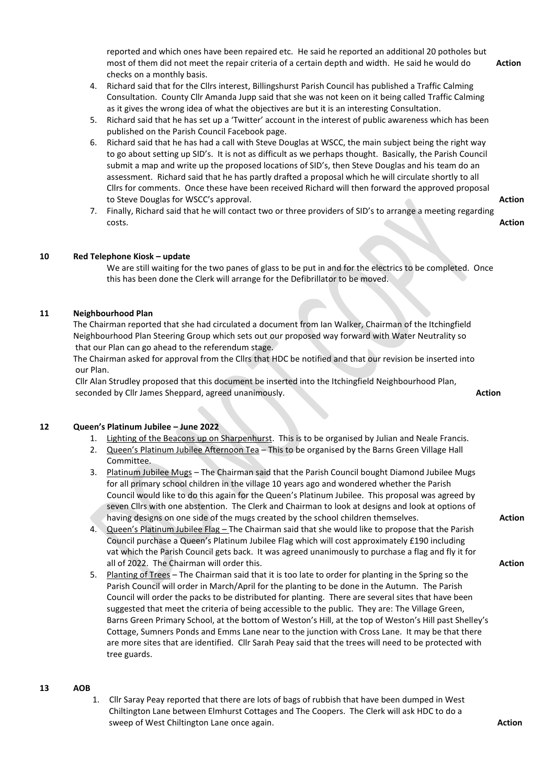reported and which ones have been repaired etc.He said he reported an additional 20 potholes but most of them did not meet the repair criteria of a certain depth and width. He said he would do **Action** checks on a monthly basis.

- 4. Richard said that for the Cllrs interest, Billingshurst Parish Council has published a Traffic Calming Consultation. County Cllr Amanda Jupp said that she was not keen on it being called Traffic Calming as it gives the wrong idea of what the objectives are but it is an interesting Consultation.
- 5. Richard said that he has set up a 'Twitter' account in the interest of public awareness which has been published on the Parish Council Facebook page.
- 6. Richard said that he has had a call with Steve Douglas at WSCC, the main subject being the right way to go about setting up SID's. It is not as difficult as we perhaps thought. Basically, the Parish Council submit a map and write up the proposed locations of SID's, then Steve Douglas and his team do an assessment. Richard said that he has partly drafted a proposal which he will circulate shortly to all Cllrs for comments. Once these have been received Richard will then forward the approved proposal to Steve Douglas for WSCC's approval. **Action**
- 7. Finally, Richard said that he will contact two or three providers of SID's to arrange a meeting regarding costs. **Action**

# **10 Red Telephone Kiosk – update**

We are still waiting for the two panes of glass to be put in and for the electrics to be completed. Once this has been done the Clerk will arrange for the Defibrillator to be moved.

# **11 Neighbourhood Plan**

The Chairman reported that she had circulated a document from Ian Walker, Chairman of the Itchingfield Neighbourhood Plan Steering Group which sets out our proposed way forward with Water Neutrality so that our Plan can go ahead to the referendum stage.

The Chairman asked for approval from the Cllrs that HDC be notified and that our revision be inserted into our Plan.

Cllr Alan Strudley proposed that this document be inserted into the Itchingfield Neighbourhood Plan, seconded by Cllr James Sheppard, agreed unanimously. **Action Action Action** 

# **12 Queen's Platinum Jubilee – June 2022**

- 1. Lighting of the Beacons up on Sharpenhurst. This is to be organised by Julian and Neale Francis.
- 2. Queen's Platinum Jubilee Afternoon Tea This to be organised by the Barns Green Village Hall Committee.
- 3. Platinum Jubilee Mugs The Chairman said that the Parish Council bought Diamond Jubilee Mugs for all primary school children in the village 10 years ago and wondered whether the Parish Council would like to do this again for the Queen's Platinum Jubilee. This proposal was agreed by seven Cllrs with one abstention. The Clerk and Chairman to look at designs and look at options of having designs on one side of the mugs created by the school children themselves. **Action Action**
- 4. Queen's Platinum Jubilee Flag The Chairman said that she would like to propose that the Parish Council purchase a Queen's Platinum Jubilee Flag which will cost approximately £190 including vat which the Parish Council gets back. It was agreed unanimously to purchase a flag and fly it for all of 2022. The Chairman will order this. **Action**
- 5. Planting of Trees The Chairman said that it is too late to order for planting in the Spring so the Parish Council will order in March/April for the planting to be done in the Autumn. The Parish Council will order the packs to be distributed for planting. There are several sites that have been suggested that meet the criteria of being accessible to the public. They are: The Village Green, Barns Green Primary School, at the bottom of Weston's Hill, at the top of Weston's Hill past Shelley's Cottage, Sumners Ponds and Emms Lane near to the junction with Cross Lane. It may be that there are more sites that are identified. Cllr Sarah Peay said that the trees will need to be protected with tree guards.

#### **13 AOB**

1. Cllr Saray Peay reported that there are lots of bags of rubbish that have been dumped in West Chiltington Lane between Elmhurst Cottages and The Coopers. The Clerk will ask HDC to do a sweep of West Chiltington Lane once again. **Action**